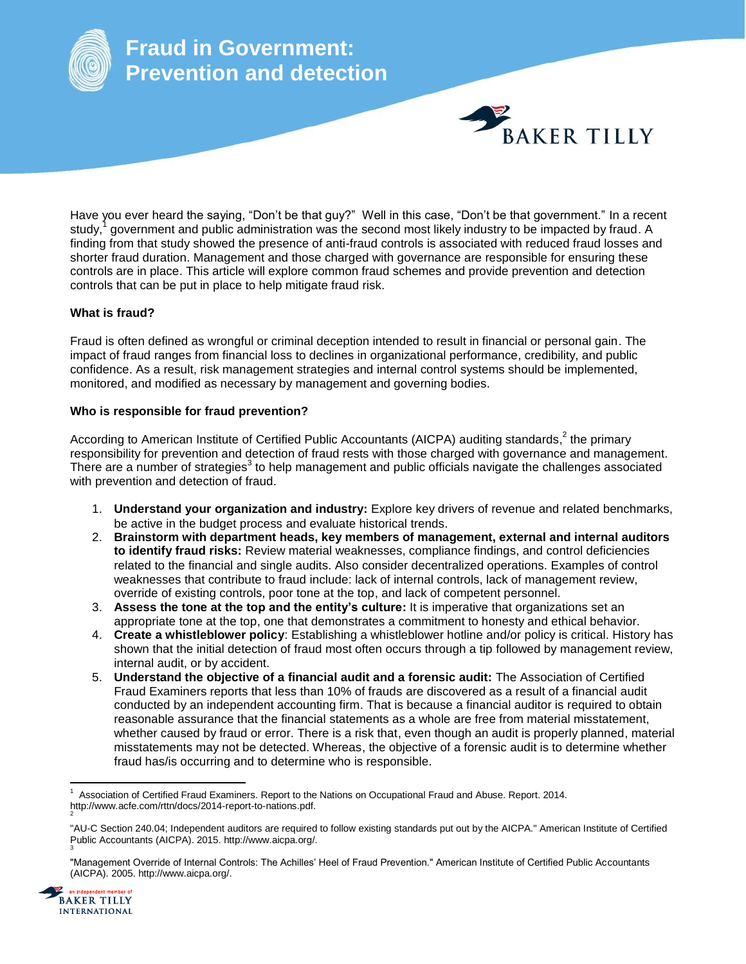

Have you ever heard the saying, "Don't be that guy?" Well in this case, "Don't be that government." In a recent study,<sup>1</sup> government and public administration was the second most likely industry to be impacted by fraud. A finding from that study showed the presence of anti-fraud controls is associated with reduced fraud losses and shorter fraud duration. Management and those charged with governance are responsible for ensuring these controls are in place. This article will explore common fraud schemes and provide prevention and detection controls that can be put in place to help mitigate fraud risk.

## **What is fraud?**

Fraud is often defined as wrongful or criminal deception intended to result in financial or personal gain. The impact of fraud ranges from financial loss to declines in organizational performance, credibility, and public confidence. As a result, risk management strategies and internal control systems should be implemented, monitored, and modified as necessary by management and governing bodies.

## **Who is responsible for fraud prevention?**

According to American Institute of Certified Public Accountants (AICPA) auditing standards,<sup>2</sup> the primary responsibility for prevention and detection of fraud rests with those charged with governance and management. There are a number of strategies<sup>3</sup> to help management and public officials navigate the challenges associated with prevention and detection of fraud.

- 1. **Understand your organization and industry:** Explore key drivers of revenue and related benchmarks, be active in the budget process and evaluate historical trends.
- 2. **Brainstorm with department heads, key members of management, external and internal auditors to identify fraud risks:** Review material weaknesses, compliance findings, and control deficiencies related to the financial and single audits. Also consider decentralized operations. Examples of control weaknesses that contribute to fraud include: lack of internal controls, lack of management review, override of existing controls, poor tone at the top, and lack of competent personnel.
- 3. **Assess the tone at the top and the entity's culture:** It is imperative that organizations set an appropriate tone at the top, one that demonstrates a commitment to honesty and ethical behavior.
- 4. **Create a whistleblower policy**: Establishing a whistleblower hotline and/or policy is critical. History has shown that the initial detection of fraud most often occurs through a tip followed by management review, internal audit, or by accident.
- 5. **Understand the objective of a financial audit and a forensic audit:** The Association of Certified Fraud Examiners reports that less than 10% of frauds are discovered as a result of a financial audit conducted by an independent accounting firm. That is because a financial auditor is required to obtain reasonable assurance that the financial statements as a whole are free from material misstatement, whether caused by fraud or error. There is a risk that, even though an audit is properly planned, material misstatements may not be detected. Whereas, the objective of a forensic audit is to determine whether fraud has/is occurring and to determine who is responsible.

<sup>&</sup>quot;Management Override of Internal Controls: The Achilles' Heel of Fraud Prevention." American Institute of Certified Public Accountants (AICPA). 2005. http://www.aicpa.org/.



 $\overline{a}$ 1 Association of Certified Fraud Examiners. Report to the Nations on Occupational Fraud and Abuse. Report. 2014. http://www.acfe.com/rttn/docs/2014-report-to-nations.pdf. 2

<sup>&</sup>quot;AU-C Section 240.04; Independent auditors are required to follow existing standards put out by the AICPA." American Institute of Certified Public Accountants (AICPA). 2015. http://www.aicpa.org/. 3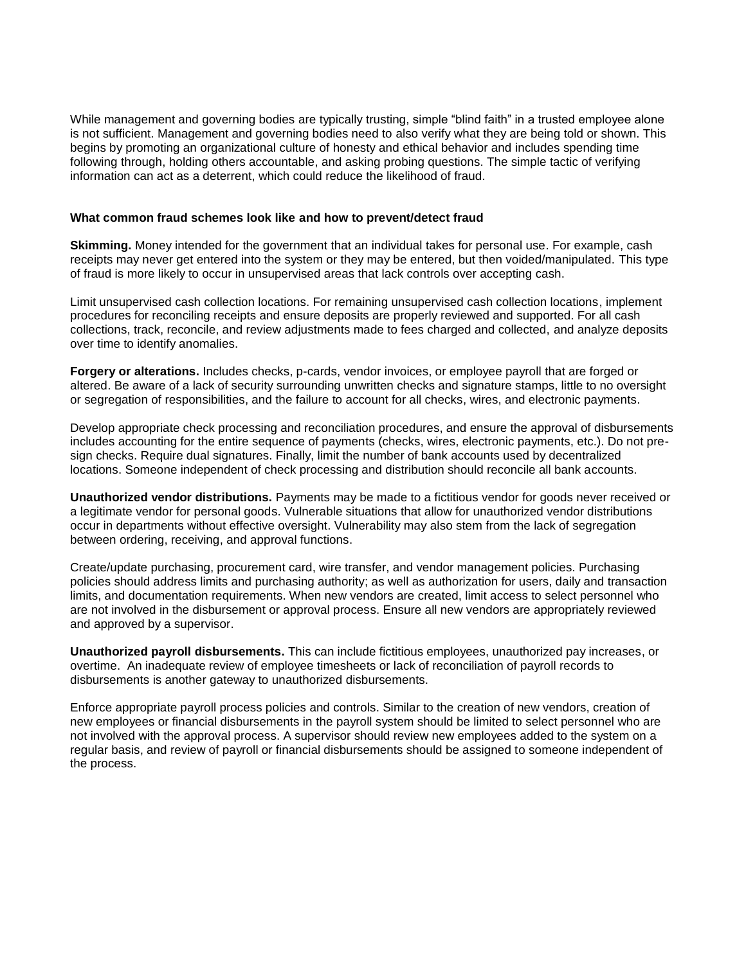While management and governing bodies are typically trusting, simple "blind faith" in a trusted employee alone is not sufficient. Management and governing bodies need to also verify what they are being told or shown. This begins by promoting an organizational culture of honesty and ethical behavior and includes spending time following through, holding others accountable, and asking probing questions. The simple tactic of verifying information can act as a deterrent, which could reduce the likelihood of fraud.

## **What common fraud schemes look like and how to prevent/detect fraud**

**Skimming.** Money intended for the government that an individual takes for personal use. For example, cash receipts may never get entered into the system or they may be entered, but then voided/manipulated. This type of fraud is more likely to occur in unsupervised areas that lack controls over accepting cash.

Limit unsupervised cash collection locations. For remaining unsupervised cash collection locations, implement procedures for reconciling receipts and ensure deposits are properly reviewed and supported. For all cash collections, track, reconcile, and review adjustments made to fees charged and collected, and analyze deposits over time to identify anomalies.

**Forgery or alterations.** Includes checks, p-cards, vendor invoices, or employee payroll that are forged or altered. Be aware of a lack of security surrounding unwritten checks and signature stamps, little to no oversight or segregation of responsibilities, and the failure to account for all checks, wires, and electronic payments.

Develop appropriate check processing and reconciliation procedures, and ensure the approval of disbursements includes accounting for the entire sequence of payments (checks, wires, electronic payments, etc.). Do not presign checks. Require dual signatures. Finally, limit the number of bank accounts used by decentralized locations. Someone independent of check processing and distribution should reconcile all bank accounts.

**Unauthorized vendor distributions.** Payments may be made to a fictitious vendor for goods never received or a legitimate vendor for personal goods. Vulnerable situations that allow for unauthorized vendor distributions occur in departments without effective oversight. Vulnerability may also stem from the lack of segregation between ordering, receiving, and approval functions.

Create/update purchasing, procurement card, wire transfer, and vendor management policies. Purchasing policies should address limits and purchasing authority; as well as authorization for users, daily and transaction limits, and documentation requirements. When new vendors are created, limit access to select personnel who are not involved in the disbursement or approval process. Ensure all new vendors are appropriately reviewed and approved by a supervisor.

**Unauthorized payroll disbursements.** This can include fictitious employees, unauthorized pay increases, or overtime. An inadequate review of employee timesheets or lack of reconciliation of payroll records to disbursements is another gateway to unauthorized disbursements.

Enforce appropriate payroll process policies and controls. Similar to the creation of new vendors, creation of new employees or financial disbursements in the payroll system should be limited to select personnel who are not involved with the approval process. A supervisor should review new employees added to the system on a regular basis, and review of payroll or financial disbursements should be assigned to someone independent of the process.